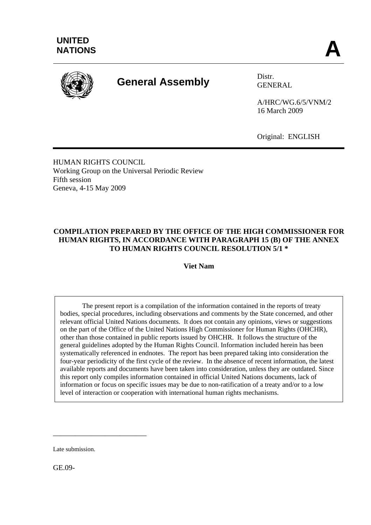

# **General Assembly** Distr.

GENERAL

A/HRC/WG.6/5/VNM/2 16 March 2009

Original: ENGLISH

HUMAN RIGHTS COUNCIL Working Group on the Universal Periodic Review Fifth session Geneva, 4-15 May 2009

### **COMPILATION PREPARED BY THE OFFICE OF THE HIGH COMMISSIONER FOR HUMAN RIGHTS, IN ACCORDANCE WITH PARAGRAPH 15 (B) OF THE ANNEX TO HUMAN RIGHTS COUNCIL RESOLUTION 5/1 \***

**Viet Nam** 

 The present report is a compilation of the information contained in the reports of treaty bodies, special procedures, including observations and comments by the State concerned, and other relevant official United Nations documents. It does not contain any opinions, views or suggestions on the part of the Office of the United Nations High Commissioner for Human Rights (OHCHR), other than those contained in public reports issued by OHCHR. It follows the structure of the general guidelines adopted by the Human Rights Council. Information included herein has been systematically referenced in endnotes. The report has been prepared taking into consideration the four-year periodicity of the first cycle of the review. In the absence of recent information, the latest available reports and documents have been taken into consideration, unless they are outdated. Since this report only compiles information contained in official United Nations documents, lack of information or focus on specific issues may be due to non-ratification of a treaty and/or to a low level of interaction or cooperation with international human rights mechanisms.

Late submission.

\_\_\_\_\_\_\_\_\_\_\_\_\_\_\_\_\_\_\_\_\_\_\_\_\_

GE.09-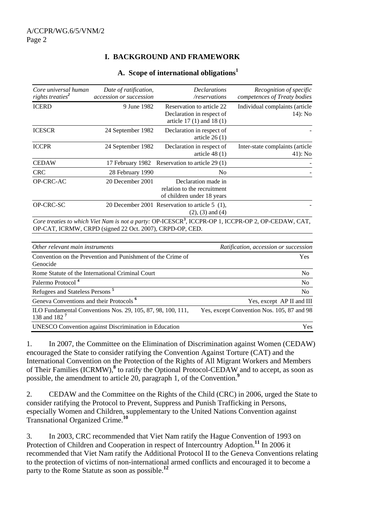## **I. BACKGROUND AND FRAMEWORK**

| Core universal human                                | Date of ratification,                                       | <b>Declarations</b>                                                                 | Recognition of specific                                                                                         |
|-----------------------------------------------------|-------------------------------------------------------------|-------------------------------------------------------------------------------------|-----------------------------------------------------------------------------------------------------------------|
| rights treaties <sup>2</sup>                        | accession or succession                                     | /reservations                                                                       | competences of Treaty bodies                                                                                    |
| <b>ICERD</b>                                        | 9 June 1982                                                 | Reservation to article 22<br>Declaration in respect of<br>article 17 (1) and 18 (1) | Individual complaints (article<br>14): No                                                                       |
| <b>ICESCR</b>                                       | 24 September 1982                                           | Declaration in respect of<br>article $26(1)$                                        |                                                                                                                 |
| <b>ICCPR</b>                                        | 24 September 1982                                           | Declaration in respect of<br>article $48(1)$                                        | Inter-state complaints (article<br>41): No                                                                      |
| <b>CEDAW</b>                                        | 17 February 1982                                            | Reservation to article 29 (1)                                                       |                                                                                                                 |
| <b>CRC</b>                                          | 28 February 1990                                            | N <sub>o</sub>                                                                      |                                                                                                                 |
| OP-CRC-AC                                           | 20 December 2001                                            | Declaration made in<br>relation to the recruitment<br>of children under 18 years    |                                                                                                                 |
| OP-CRC-SC                                           |                                                             | 20 December 2001 Reservation to article 5 (1),<br>$(2)$ , $(3)$ and $(4)$           |                                                                                                                 |
|                                                     | OP-CAT, ICRMW, CRPD (signed 22 Oct. 2007), CRPD-OP, CED.    |                                                                                     | Core treaties to which Viet Nam is not a party: OP-ICESCR <sup>3</sup> , ICCPR-OP 1, ICCPR-OP 2, OP-CEDAW, CAT, |
| Other relevant main instruments                     |                                                             |                                                                                     | Ratification, accession or succession                                                                           |
| Genocide                                            | Convention on the Prevention and Punishment of the Crime of |                                                                                     | Yes                                                                                                             |
|                                                     | Rome Statute of the International Criminal Court            |                                                                                     | <b>No</b>                                                                                                       |
| Palermo Protocol <sup>4</sup>                       |                                                             |                                                                                     | No                                                                                                              |
| Refugees and Stateless Persons <sup>5</sup>         |                                                             |                                                                                     | N <sub>0</sub>                                                                                                  |
| Geneva Conventions and their Protocols <sup>6</sup> |                                                             |                                                                                     | Yes, except AP II and III                                                                                       |
| 138 and 182 <sup>7</sup>                            | ILO Fundamental Conventions Nos. 29, 105, 87, 98, 100, 111, |                                                                                     | Yes, except Convention Nos. 105, 87 and 98                                                                      |

#### **A. Scope of international obligations1**

1. In 2007, the Committee on the Elimination of Discrimination against Women (CEDAW) encouraged the State to consider ratifying the Convention Against Torture (CAT) and the International Convention on the Protection of the Rights of All Migrant Workers and Members of Their Families (ICRMW),**<sup>8</sup>** to ratify the Optional Protocol-CEDAW and to accept, as soon as possible, the amendment to article 20, paragraph 1, of the Convention.**<sup>9</sup>**

UNESCO Convention against Discrimination in Education Yes

2. CEDAW and the Committee on the Rights of the Child (CRC) in 2006, urged the State to consider ratifying the Protocol to Prevent, Suppress and Punish Trafficking in Persons, especially Women and Children, supplementary to the United Nations Convention against Transnational Organized Crime.**<sup>10</sup>**

3. In 2003, CRC recommended that Viet Nam ratify the Hague Convention of 1993 on Protection of Children and Cooperation in respect of Intercountry Adoption.**<sup>11</sup>** In 2006 it recommended that Viet Nam ratify the Additional Protocol II to the Geneva Conventions relating to the protection of victims of non-international armed conflicts and encouraged it to become a party to the Rome Statute as soon as possible.**<sup>12</sup>**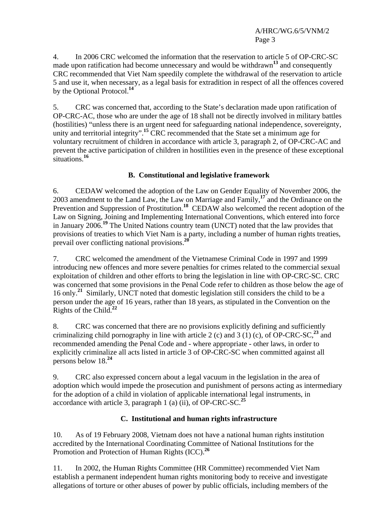4. In 2006 CRC welcomed the information that the reservation to article 5 of OP-CRC-SC made upon ratification had become unnecessary and would be withdrawn**<sup>13</sup>** and consequently CRC recommended that Viet Nam speedily complete the withdrawal of the reservation to article 5 and use it, when necessary, as a legal basis for extradition in respect of all the offences covered by the Optional Protocol.**<sup>14</sup>**

5. CRC was concerned that, according to the State's declaration made upon ratification of OP-CRC-AC, those who are under the age of 18 shall not be directly involved in military battles (hostilities) "unless there is an urgent need for safeguarding national independence, sovereignty, unity and territorial integrity".<sup>15</sup> CRC recommended that the State set a minimum age for voluntary recruitment of children in accordance with article 3, paragraph 2, of OP-CRC-AC and prevent the active participation of children in hostilities even in the presence of these exceptional situations.**<sup>16</sup>**

# **B. Constitutional and legislative framework**

6. CEDAW welcomed the adoption of the Law on Gender Equality of November 2006, the 2003 amendment to the Land Law, the Law on Marriage and Family,**<sup>17</sup>** and the Ordinance on the Prevention and Suppression of Prostitution.<sup>18</sup> CEDAW also welcomed the recent adoption of the Law on Signing, Joining and Implementing International Conventions, which entered into force in January 2006.**<sup>19</sup>** The United Nations country team (UNCT) noted that the law provides that provisions of treaties to which Viet Nam is a party, including a number of human rights treaties, prevail over conflicting national provisions.**<sup>20</sup>**

7. CRC welcomed the amendment of the Vietnamese Criminal Code in 1997 and 1999 introducing new offences and more severe penalties for crimes related to the commercial sexual exploitation of children and other efforts to bring the legislation in line with OP-CRC-SC. CRC was concerned that some provisions in the Penal Code refer to children as those below the age of 16 only.**<sup>21</sup>** Similarly, UNCT noted that domestic legislation still considers the child to be a person under the age of 16 years, rather than 18 years, as stipulated in the Convention on the Rights of the Child.**<sup>22</sup>**

8. CRC was concerned that there are no provisions explicitly defining and sufficiently criminalizing child pornography in line with article 2 (c) and 3 (1) (c), of OP-CRC-SC,<sup>23</sup> and recommended amending the Penal Code and - where appropriate - other laws, in order to explicitly criminalize all acts listed in article 3 of OP-CRC-SC when committed against all persons below 18.**<sup>24</sup>**

9. CRC also expressed concern about a legal vacuum in the legislation in the area of adoption which would impede the prosecution and punishment of persons acting as intermediary for the adoption of a child in violation of applicable international legal instruments, in accordance with article 3, paragraph 1 (a) (ii), of OP-CRC-SC.**<sup>25</sup>**

# **C. Institutional and human rights infrastructure**

10. As of 19 February 2008, Vietnam does not have a national human rights institution accredited by the International Coordinating Committee of National Institutions for the Promotion and Protection of Human Rights (ICC).**<sup>26</sup>**

11. In 2002, the Human Rights Committee (HR Committee) recommended Viet Nam establish a permanent independent human rights monitoring body to receive and investigate allegations of torture or other abuses of power by public officials, including members of the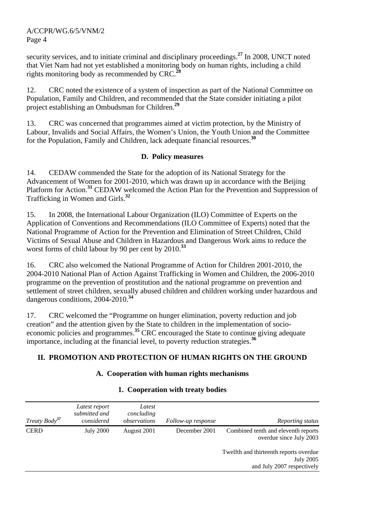security services, and to initiate criminal and disciplinary proceedings.**<sup>27</sup>** In 2008, UNCT noted that Viet Nam had not yet established a monitoring body on human rights, including a child rights monitoring body as recommended by CRC.**<sup>28</sup>**

12. CRC noted the existence of a system of inspection as part of the National Committee on Population, Family and Children, and recommended that the State consider initiating a pilot project establishing an Ombudsman for Children.**<sup>29</sup>**

13. CRC was concerned that programmes aimed at victim protection, by the Ministry of Labour, Invalids and Social Affairs, the Women's Union, the Youth Union and the Committee for the Population, Family and Children, lack adequate financial resources.**<sup>30</sup>**

#### **D. Policy measures**

14. CEDAW commended the State for the adoption of its National Strategy for the Advancement of Women for 2001-2010, which was drawn up in accordance with the Beijing Platform for Action.<sup>31</sup> CEDAW welcomed the Action Plan for the Prevention and Suppression of Trafficking in Women and Girls.**<sup>32</sup>**

15. In 2008, the International Labour Organization (ILO) Committee of Experts on the Application of Conventions and Recommendations (ILO Committee of Experts) noted that the National Programme of Action for the Prevention and Elimination of Street Children, Child Victims of Sexual Abuse and Children in Hazardous and Dangerous Work aims to reduce the worst forms of child labour by 90 per cent by 2010.**<sup>33</sup>**

16. CRC also welcomed the National Programme of Action for Children 2001-2010, the 2004-2010 National Plan of Action Against Trafficking in Women and Children, the 2006-2010 programme on the prevention of prostitution and the national programme on prevention and settlement of street children, sexually abused children and children working under hazardous and dangerous conditions, 2004-2010.**<sup>34</sup>**

17. CRC welcomed the "Programme on hunger elimination, poverty reduction and job creation" and the attention given by the State to children in the implementation of socioeconomic policies and programmes.**<sup>35</sup>** CRC encouraged the State to continue giving adequate importance, including at the financial level, to poverty reduction strategies.**<sup>36</sup>**

# **II. PROMOTION AND PROTECTION OF HUMAN RIGHTS ON THE GROUND**

#### **A. Cooperation with human rights mechanisms**

| Treaty Body <sup>37</sup> | Latest report<br>submitted and<br>considered | Latest<br>concluding<br>observations | Follow-up response | Reporting status                                                                         |
|---------------------------|----------------------------------------------|--------------------------------------|--------------------|------------------------------------------------------------------------------------------|
| <b>CERD</b>               | <b>July 2000</b>                             | August 2001                          | December 2001      | Combined tenth and eleventh reports<br>overdue since July 2003                           |
|                           |                                              |                                      |                    | Twelfth and thirteenth reports overdue<br><b>July 2005</b><br>and July 2007 respectively |

#### **1. Cooperation with treaty bodies**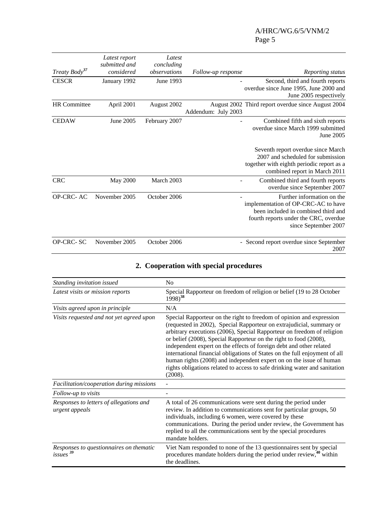## A/HRC/WG.6/5/VNM/2 Page 5

| Treaty Body <sup>37</sup> | Latest report<br>submitted and<br>considered | Latest<br>concluding<br>observations | Follow-up response  | Reporting status                                                                                                                                                          |
|---------------------------|----------------------------------------------|--------------------------------------|---------------------|---------------------------------------------------------------------------------------------------------------------------------------------------------------------------|
| <b>CESCR</b>              | January 1992                                 | June 1993                            |                     | Second, third and fourth reports<br>overdue since June 1995, June 2000 and<br>June 2005 respectively                                                                      |
| <b>HR</b> Committee       | April 2001                                   | August 2002                          | Addendum: July 2003 | August 2002 Third report overdue since August 2004                                                                                                                        |
| <b>CEDAW</b>              | June 2005                                    | February 2007                        |                     | Combined fifth and sixth reports<br>overdue since March 1999 submitted<br>June 2005                                                                                       |
|                           |                                              |                                      |                     | Seventh report overdue since March<br>2007 and scheduled for submission<br>together with eighth periodic report as a<br>combined report in March 2011                     |
| <b>CRC</b>                | <b>May 2000</b>                              | March 2003                           |                     | Combined third and fourth reports<br>overdue since September 2007                                                                                                         |
| <b>OP-CRC-AC</b>          | November 2005                                | October 2006                         |                     | Further information on the<br>implementation of OP-CRC-AC to have<br>been included in combined third and<br>fourth reports under the CRC, overdue<br>since September 2007 |
| OP-CRC-SC                 | November 2005                                | October 2006                         |                     | Second report overdue since September<br>2007                                                                                                                             |

|  | 2. Cooperation with special procedures |  |  |  |
|--|----------------------------------------|--|--|--|
|--|----------------------------------------|--|--|--|

| Standing invitation issued                                      | No                                                                                                                                                                                                                                                                                                                                                                                                                                                                                                                                                                                                               |  |
|-----------------------------------------------------------------|------------------------------------------------------------------------------------------------------------------------------------------------------------------------------------------------------------------------------------------------------------------------------------------------------------------------------------------------------------------------------------------------------------------------------------------------------------------------------------------------------------------------------------------------------------------------------------------------------------------|--|
| Latest visits or mission reports                                | Special Rapporteur on freedom of religion or belief (19 to 28 October<br>$1998)^{38}$                                                                                                                                                                                                                                                                                                                                                                                                                                                                                                                            |  |
| Visits agreed upon in principle                                 | N/A                                                                                                                                                                                                                                                                                                                                                                                                                                                                                                                                                                                                              |  |
| Visits requested and not yet agreed upon                        | Special Rapporteur on the right to freedom of opinion and expression<br>(requested in 2002), Special Rapporteur on extrajudicial, summary or<br>arbitrary executions (2006), Special Rapporteur on freedom of religion<br>or belief (2008), Special Rapporteur on the right to food (2008),<br>independent expert on the effects of foreign debt and other related<br>international financial obligations of States on the full enjoyment of all<br>human rights (2008) and independent expert on on the issue of human<br>rights obligations related to access to safe drinking water and sanitation<br>(2008). |  |
| Facilitation/cooperation during missions                        |                                                                                                                                                                                                                                                                                                                                                                                                                                                                                                                                                                                                                  |  |
| Follow-up to visits                                             |                                                                                                                                                                                                                                                                                                                                                                                                                                                                                                                                                                                                                  |  |
| Responses to letters of allegations and<br>urgent appeals       | A total of 26 communications were sent during the period under<br>review. In addition to communications sent for particular groups, 50<br>individuals, including 6 women, were covered by these<br>communications. During the period under review, the Government has<br>replied to all the communications sent by the special procedures<br>mandate holders.                                                                                                                                                                                                                                                    |  |
| Responses to questionnaires on thematic<br>issues <sup>39</sup> | Viet Nam responded to none of the 13 questionnaires sent by special<br>procedures mandate holders during the period under review, <sup>40</sup> within<br>the deadlines.                                                                                                                                                                                                                                                                                                                                                                                                                                         |  |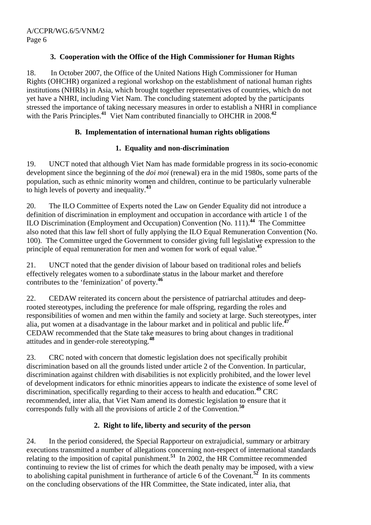## **3. Cooperation with the Office of the High Commissioner for Human Rights**

18. In October 2007, the Office of the United Nations High Commissioner for Human Rights (OHCHR) organized a regional workshop on the establishment of national human rights institutions (NHRIs) in Asia, which brought together representatives of countries, which do not yet have a NHRI, including Viet Nam. The concluding statement adopted by the participants stressed the importance of taking necessary measures in order to establish a NHRI in compliance with the Paris Principles.<sup>41</sup> Viet Nam contributed financially to OHCHR in 2008.<sup>42</sup>

#### **B. Implementation of international human rights obligations**

## **1. Equality and non-discrimination**

19. UNCT noted that although Viet Nam has made formidable progress in its socio-economic development since the beginning of the *doi moi* (renewal) era in the mid 1980s, some parts of the population, such as ethnic minority women and children, continue to be particularly vulnerable to high levels of poverty and inequality.**<sup>43</sup>**

20. The ILO Committee of Experts noted the Law on Gender Equality did not introduce a definition of discrimination in employment and occupation in accordance with article 1 of the ILO Discrimination (Employment and Occupation) Convention (No. 111).**<sup>44</sup>** The Committee also noted that this law fell short of fully applying the ILO Equal Remuneration Convention (No. 100). The Committee urged the Government to consider giving full legislative expression to the principle of equal remuneration for men and women for work of equal value.**<sup>45</sup>**

21. UNCT noted that the gender division of labour based on traditional roles and beliefs effectively relegates women to a subordinate status in the labour market and therefore contributes to the 'feminization' of poverty.**<sup>46</sup>**

22. CEDAW reiterated its concern about the persistence of patriarchal attitudes and deeprooted stereotypes, including the preference for male offspring, regarding the roles and responsibilities of women and men within the family and society at large. Such stereotypes, inter alia, put women at a disadvantage in the labour market and in political and public life.**<sup>47</sup>** CEDAW recommended that the State take measures to bring about changes in traditional attitudes and in gender-role stereotyping.**<sup>48</sup>**

23. CRC noted with concern that domestic legislation does not specifically prohibit discrimination based on all the grounds listed under article 2 of the Convention. In particular, discrimination against children with disabilities is not explicitly prohibited, and the lower level of development indicators for ethnic minorities appears to indicate the existence of some level of discrimination, specifically regarding to their access to health and education.**<sup>49</sup>** CRC recommended, inter alia, that Viet Nam amend its domestic legislation to ensure that it corresponds fully with all the provisions of article 2 of the Convention.**<sup>50</sup>**

# **2. Right to life, liberty and security of the person**

24. In the period considered, the Special Rapporteur on extrajudicial, summary or arbitrary executions transmitted a number of allegations concerning non-respect of international standards relating to the imposition of capital punishment.**<sup>51</sup>** In 2002, the HR Committee recommended continuing to review the list of crimes for which the death penalty may be imposed, with a view to abolishing capital punishment in furtherance of article 6 of the Covenant.**<sup>52</sup>** In its comments on the concluding observations of the HR Committee, the State indicated, inter alia, that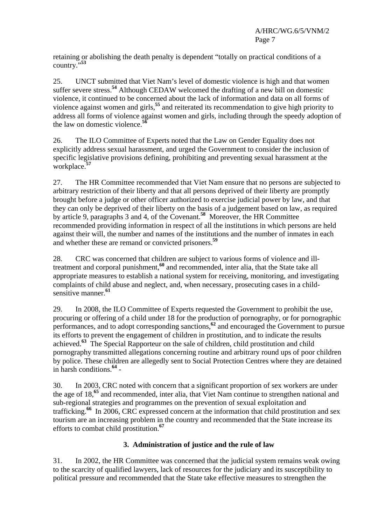retaining or abolishing the death penalty is dependent "totally on practical conditions of a country."**<sup>53</sup>**

25. UNCT submitted that Viet Nam's level of domestic violence is high and that women suffer severe stress.**<sup>54</sup>** Although CEDAW welcomed the drafting of a new bill on domestic violence, it continued to be concerned about the lack of information and data on all forms of violence against women and girls,**<sup>55</sup>** and reiterated its recommendation to give high priority to address all forms of violence against women and girls, including through the speedy adoption of the law on domestic violence.**<sup>56</sup>**

26. The ILO Committee of Experts noted that the Law on Gender Equality does not explicitly address sexual harassment, and urged the Government to consider the inclusion of specific legislative provisions defining, prohibiting and preventing sexual harassment at the workplace.**<sup>57</sup>**

27. The HR Committee recommended that Viet Nam ensure that no persons are subjected to arbitrary restriction of their liberty and that all persons deprived of their liberty are promptly brought before a judge or other officer authorized to exercise judicial power by law, and that they can only be deprived of their liberty on the basis of a judgement based on law, as required by article 9, paragraphs 3 and 4, of the Covenant.**<sup>58</sup>** Moreover, the HR Committee recommended providing information in respect of all the institutions in which persons are held against their will, the number and names of the institutions and the number of inmates in each and whether these are remand or convicted prisoners.**<sup>59</sup>**

28. CRC was concerned that children are subject to various forms of violence and illtreatment and corporal punishment,**<sup>60</sup>** and recommended, inter alia, that the State take all appropriate measures to establish a national system for receiving, monitoring, and investigating complaints of child abuse and neglect, and, when necessary, prosecuting cases in a childsensitive manner.**<sup>61</sup>**

29. In 2008, the ILO Committee of Experts requested the Government to prohibit the use, procuring or offering of a child under 18 for the production of pornography, or for pornographic performances, and to adopt corresponding sanctions,**<sup>62</sup>** and encouraged the Government to pursue its efforts to prevent the engagement of children in prostitution, and to indicate the results achieved.**<sup>63</sup>** The Special Rapporteur on the sale of children, child prostitution and child pornography transmitted allegations concerning routine and arbitrary round ups of poor children by police. These children are allegedly sent to Social Protection Centres where they are detained in harsh conditions.**<sup>64</sup>** -

30. In 2003, CRC noted with concern that a significant proportion of sex workers are under the age of 18,**<sup>65</sup>** and recommended, inter alia, that Viet Nam continue to strengthen national and sub-regional strategies and programmes on the prevention of sexual exploitation and trafficking.**<sup>66</sup>** In 2006, CRC expressed concern at the information that child prostitution and sex tourism are an increasing problem in the country and recommended that the State increase its efforts to combat child prostitution.**<sup>67</sup>**

# **3. Administration of justice and the rule of law**

31. In 2002, the HR Committee was concerned that the judicial system remains weak owing to the scarcity of qualified lawyers, lack of resources for the judiciary and its susceptibility to political pressure and recommended that the State take effective measures to strengthen the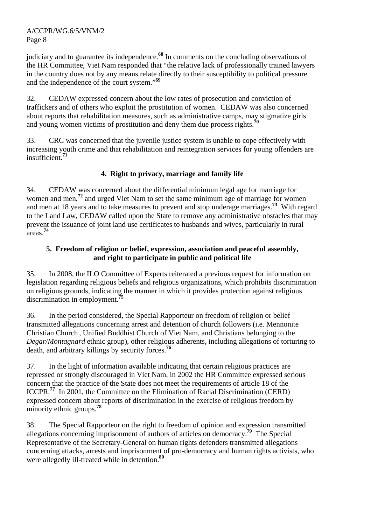judiciary and to guarantee its independence.**<sup>68</sup>** In comments on the concluding observations of the HR Committee, Viet Nam responded that "the relative lack of professionally trained lawyers in the country does not by any means relate directly to their susceptibility to political pressure and the independence of the court system."**<sup>69</sup>**

32. CEDAW expressed concern about the low rates of prosecution and conviction of traffickers and of others who exploit the prostitution of women. CEDAW was also concerned about reports that rehabilitation measures, such as administrative camps, may stigmatize girls and young women victims of prostitution and deny them due process rights.<sup>7</sup>

33. CRC was concerned that the juvenile justice system is unable to cope effectively with increasing youth crime and that rehabilitation and reintegration services for young offenders are insufficient.**<sup>71</sup>**

# **4. Right to privacy, marriage and family life**

34. CEDAW was concerned about the differential minimum legal age for marriage for women and men,<sup>72</sup> and urged Viet Nam to set the same minimum age of marriage for women and men at 18 years and to take measures to prevent and stop underage marriages.**<sup>73</sup>** With regard to the Land Law, CEDAW called upon the State to remove any administrative obstacles that may prevent the issuance of joint land use certificates to husbands and wives, particularly in rural areas. **74**

# **5. Freedom of religion or belief, expression, association and peaceful assembly, and right to participate in public and political life**

35. In 2008, the ILO Committee of Experts reiterated a previous request for information on legislation regarding religious beliefs and religious organizations, which prohibits discrimination on religious grounds, indicating the manner in which it provides protection against religious discrimination in employment.**<sup>75</sup>**

36. In the period considered, the Special Rapporteur on freedom of religion or belief transmitted allegations concerning arrest and detention of church followers (i.e. Mennonite Christian Church , Unified Buddhist Church of Viet Nam, and Christians belonging to the *Degar/Montagnard* ethnic group), other religious adherents, including allegations of torturing to death, and arbitrary killings by security forces.**<sup>76</sup>**

37. In the light of information available indicating that certain religious practices are repressed or strongly discouraged in Viet Nam, in 2002 the HR Committee expressed serious concern that the practice of the State does not meet the requirements of article 18 of the ICCPR.**<sup>77</sup>** In 2001, the Committee on the Elimination of Racial Discrimination (CERD) expressed concern about reports of discrimination in the exercise of religious freedom by minority ethnic groups.**<sup>78</sup>**

38. The Special Rapporteur on the right to freedom of opinion and expression transmitted allegations concerning imprisonment of authors of articles on democracy.**<sup>79</sup>** The Special Representative of the Secretary-General on human rights defenders transmitted allegations concerning attacks, arrests and imprisonment of pro-democracy and human rights activists, who were allegedly ill-treated while in detention.**<sup>80</sup>**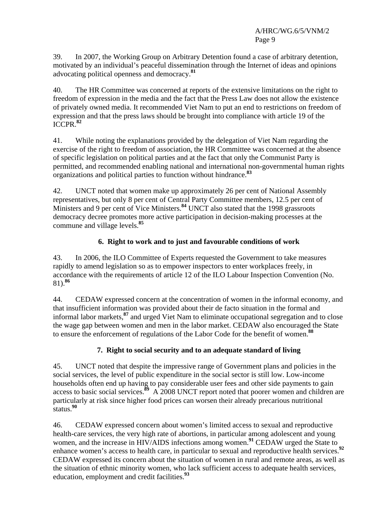39. In 2007, the Working Group on Arbitrary Detention found a case of arbitrary detention, motivated by an individual's peaceful dissemination through the Internet of ideas and opinions advocating political openness and democracy.**<sup>81</sup>**

40. The HR Committee was concerned at reports of the extensive limitations on the right to freedom of expression in the media and the fact that the Press Law does not allow the existence of privately owned media. It recommended Viet Nam to put an end to restrictions on freedom of expression and that the press laws should be brought into compliance with article 19 of the ICCPR.**<sup>82</sup>**

41. While noting the explanations provided by the delegation of Viet Nam regarding the exercise of the right to freedom of association, the HR Committee was concerned at the absence of specific legislation on political parties and at the fact that only the Communist Party is permitted, and recommended enabling national and international non-governmental human rights organizations and political parties to function without hindrance.**<sup>83</sup>**

42. UNCT noted that women make up approximately 26 per cent of National Assembly representatives, but only 8 per cent of Central Party Committee members, 12.5 per cent of Ministers and 9 per cent of Vice Ministers.**<sup>84</sup>** UNCT also stated that the 1998 grassroots democracy decree promotes more active participation in decision-making processes at the commune and village levels.**<sup>85</sup>**

## **6. Right to work and to just and favourable conditions of work**

43. In 2006, the ILO Committee of Experts requested the Government to take measures rapidly to amend legislation so as to empower inspectors to enter workplaces freely, in accordance with the requirements of article 12 of the ILO Labour Inspection Convention (No. 81).**<sup>86</sup>**

44. CEDAW expressed concern at the concentration of women in the informal economy, and that insufficient information was provided about their de facto situation in the formal and informal labor markets,**<sup>87</sup>** and urged Viet Nam to eliminate occupational segregation and to close the wage gap between women and men in the labor market. CEDAW also encouraged the State to ensure the enforcement of regulations of the Labor Code for the benefit of women.**<sup>88</sup>**

# **7. Right to social security and to an adequate standard of living**

45. UNCT noted that despite the impressive range of Government plans and policies in the social services, the level of public expenditure in the social sector is still low. Low-income households often end up having to pay considerable user fees and other side payments to gain access to basic social services.**<sup>89</sup>** A 2008 UNCT report noted that poorer women and children are particularly at risk since higher food prices can worsen their already precarious nutritional status.**<sup>90</sup>**

46. CEDAW expressed concern about women's limited access to sexual and reproductive health-care services, the very high rate of abortions, in particular among adolescent and young women, and the increase in HIV/AIDS infections among women.**<sup>91</sup>** CEDAW urged the State to enhance women's access to health care, in particular to sexual and reproductive health services.<sup>92</sup> CEDAW expressed its concern about the situation of women in rural and remote areas, as well as the situation of ethnic minority women, who lack sufficient access to adequate health services, education, employment and credit facilities.**<sup>93</sup>**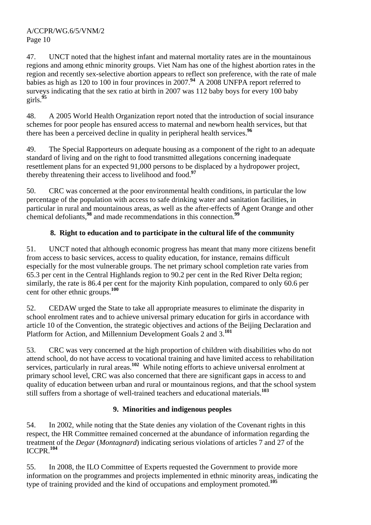47. UNCT noted that the highest infant and maternal mortality rates are in the mountainous regions and among ethnic minority groups. Viet Nam has one of the highest abortion rates in the region and recently sex-selective abortion appears to reflect son preference, with the rate of male babies as high as 120 to 100 in four provinces in 2007.<sup>94</sup> A 2008 UNFPA report referred to surveys indicating that the sex ratio at birth in 2007 was 112 baby boys for every 100 baby girls.**<sup>95</sup>**

48. A 2005 World Health Organization report noted that the introduction of social insurance schemes for poor people has ensured access to maternal and newborn health services, but that there has been a perceived decline in quality in peripheral health services.**<sup>96</sup>**

49. The Special Rapporteurs on adequate housing as a component of the right to an adequate standard of living and on the right to food transmitted allegations concerning inadequate resettlement plans for an expected 91,000 persons to be displaced by a hydropower project, thereby threatening their access to livelihood and food.**<sup>97</sup>**

50. CRC was concerned at the poor environmental health conditions, in particular the low percentage of the population with access to safe drinking water and sanitation facilities, in particular in rural and mountainous areas, as well as the after-effects of Agent Orange and other chemical defoliants,**<sup>98</sup>** and made recommendations in this connection.**<sup>99</sup>**

# **8. Right to education and to participate in the cultural life of the community**

51. UNCT noted that although economic progress has meant that many more citizens benefit from access to basic services, access to quality education, for instance, remains difficult especially for the most vulnerable groups. The net primary school completion rate varies from 65.3 per cent in the Central Highlands region to 90.2 per cent in the Red River Delta region; similarly, the rate is 86.4 per cent for the majority Kinh population, compared to only 60.6 per cent for other ethnic groups.**<sup>100</sup>**

52. CEDAW urged the State to take all appropriate measures to eliminate the disparity in school enrolment rates and to achieve universal primary education for girls in accordance with article 10 of the Convention, the strategic objectives and actions of the Beijing Declaration and Platform for Action, and Millennium Development Goals 2 and 3.**<sup>101</sup>**

53. CRC was very concerned at the high proportion of children with disabilities who do not attend school, do not have access to vocational training and have limited access to rehabilitation services, particularly in rural areas.<sup>102</sup> While noting efforts to achieve universal enrolment at primary school level, CRC was also concerned that there are significant gaps in access to and quality of education between urban and rural or mountainous regions, and that the school system still suffers from a shortage of well-trained teachers and educational materials.**<sup>103</sup>**

# **9. Minorities and indigenous peoples**

54. In 2002, while noting that the State denies any violation of the Covenant rights in this respect, the HR Committee remained concerned at the abundance of information regarding the treatment of the *Degar* (*Montagnard*) indicating serious violations of articles 7 and 27 of the ICCPR.**<sup>104</sup>**

55. In 2008, the ILO Committee of Experts requested the Government to provide more information on the programmes and projects implemented in ethnic minority areas, indicating the type of training provided and the kind of occupations and employment promoted.**<sup>105</sup>**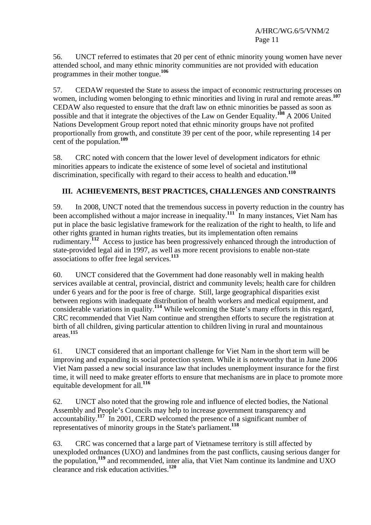56. UNCT referred to estimates that 20 per cent of ethnic minority young women have never attended school, and many ethnic minority communities are not provided with education programmes in their mother tongue.**<sup>106</sup>**

57. CEDAW requested the State to assess the impact of economic restructuring processes on women, including women belonging to ethnic minorities and living in rural and remote areas.**<sup>107</sup>** CEDAW also requested to ensure that the draft law on ethnic minorities be passed as soon as possible and that it integrate the objectives of the Law on Gender Equality.**<sup>108</sup>** A 2006 United Nations Development Group report noted that ethnic minority groups have not profited proportionally from growth, and constitute 39 per cent of the poor, while representing 14 per cent of the population.**<sup>109</sup>**

58. CRC noted with concern that the lower level of development indicators for ethnic minorities appears to indicate the existence of some level of societal and institutional discrimination, specifically with regard to their access to health and education.**<sup>110</sup>**

# **III. ACHIEVEMENTS, BEST PRACTICES, CHALLENGES AND CONSTRAINTS**

59. In 2008, UNCT noted that the tremendous success in poverty reduction in the country has been accomplished without a major increase in inequality.**<sup>111</sup>** In many instances, Viet Nam has put in place the basic legislative framework for the realization of the right to health, to life and other rights granted in human rights treaties, but its implementation often remains rudimentary.**<sup>112</sup>** Access to justice has been progressively enhanced through the introduction of state-provided legal aid in 1997, as well as more recent provisions to enable non-state associations to offer free legal services.**<sup>113</sup>**

60. UNCT considered that the Government had done reasonably well in making health services available at central, provincial, district and community levels; health care for children under 6 years and for the poor is free of charge. Still, large geographical disparities exist between regions with inadequate distribution of health workers and medical equipment, and considerable variations in quality.**<sup>114</sup>** While welcoming the State's many efforts in this regard, CRC recommended that Viet Nam continue and strengthen efforts to secure the registration at birth of all children, giving particular attention to children living in rural and mountainous areas.**<sup>115</sup>**

61. UNCT considered that an important challenge for Viet Nam in the short term will be improving and expanding its social protection system. While it is noteworthy that in June 2006 Viet Nam passed a new social insurance law that includes unemployment insurance for the first time, it will need to make greater efforts to ensure that mechanisms are in place to promote more equitable development for all.**<sup>116</sup>**

62. UNCT also noted that the growing role and influence of elected bodies, the National Assembly and People's Councils may help to increase government transparency and accountability.**<sup>117</sup>** In 2001, CERD welcomed the presence of a significant number of representatives of minority groups in the State's parliament.**<sup>118</sup>**

63. CRC was concerned that a large part of Vietnamese territory is still affected by unexploded ordnances (UXO) and landmines from the past conflicts, causing serious danger for the population,**<sup>119</sup>** and recommended, inter alia, that Viet Nam continue its landmine and UXO clearance and risk education activities.**<sup>120</sup>**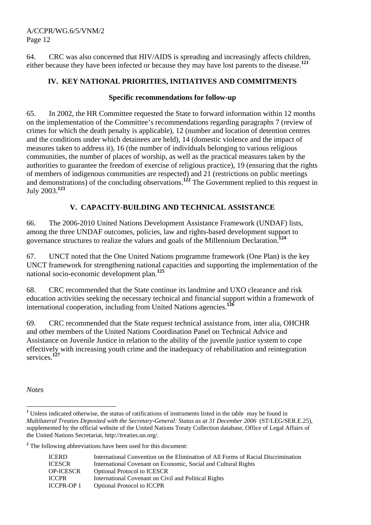64. CRC was also concerned that HIV/AIDS is spreading and increasingly affects children, either because they have been infected or because they may have lost parents to the disease.**<sup>121</sup>**

## **IV. KEY NATIONAL PRIORITIES, INITIATIVES AND COMMITMENTS**

#### **Specific recommendations for follow-up**

65. In 2002, the HR Committee requested the State to forward information within 12 months on the implementation of the Committee's recommendations regarding paragraphs 7 (review of crimes for which the death penalty is applicable), 12 (number and location of detention centres and the conditions under which detainees are held), 14 (domestic violence and the impact of measures taken to address it), 16 (the number of individuals belonging to various religious communities, the number of places of worship, as well as the practical measures taken by the authorities to guarantee the freedom of exercise of religious practice), 19 (ensuring that the rights of members of indigenous communities are respected) and 21 (restrictions on public meetings and demonstrations) of the concluding observations.<sup>122</sup> The Government replied to this request in July 2003.**<sup>123</sup>**

## **V. CAPACITY-BUILDING AND TECHNICAL ASSISTANCE**

66. The 2006-2010 United Nations Development Assistance Framework (UNDAF) lists, among the three UNDAF outcomes, policies, law and rights-based development support to governance structures to realize the values and goals of the Millennium Declaration.**<sup>124</sup>**

67. UNCT noted that the One United Nations programme framework (One Plan) is the key UNCT framework for strengthening national capacities and supporting the implementation of the national socio-economic development plan.**<sup>125</sup>**

68. CRC recommended that the State continue its landmine and UXO clearance and risk education activities seeking the necessary technical and financial support within a framework of international cooperation, including from United Nations agencies.**<sup>126</sup>**

69. CRC recommended that the State request technical assistance from, inter alia, OHCHR and other members of the United Nations Coordination Panel on Technical Advice and Assistance on Juvenile Justice in relation to the ability of the juvenile justice system to cope effectively with increasing youth crime and the inadequacy of rehabilitation and reintegration services.**<sup>127</sup>**

*Notes* 

 $\overline{a}$ 

<sup>2</sup> The following abbreviations have been used for this document:

| ICERD.     | International Convention on the Elimination of All Forms of Racial Discrimination |
|------------|-----------------------------------------------------------------------------------|
| ICESCR     | International Covenant on Economic, Social and Cultural Rights                    |
| OP-ICESCR  | <b>Optional Protocol to ICESCR</b>                                                |
| ICCPR      | International Covenant on Civil and Political Rights                              |
| ICCPR-OP 1 | <b>Optional Protocol to ICCPR</b>                                                 |

<sup>&</sup>lt;sup>1</sup> Unless indicated otherwise, the status of ratifications of instruments listed in the table may be found in *Multilateral Treaties Deposited with the Secretary-General: Status as at 31 December 2006* (ST/LEG/SER.E.25), supplemented by the official website of the United Nations Treaty Collection database, Office of Legal Affairs of the United Nations Secretariat, http://treaties.un.org/.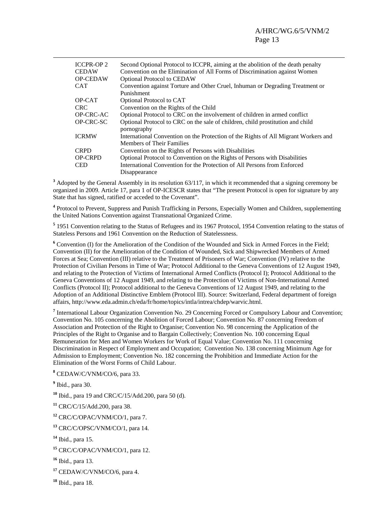| <b>ICCPR-OP2</b> | Second Optional Protocol to ICCPR, aiming at the abolition of the death penalty     |
|------------------|-------------------------------------------------------------------------------------|
| <b>CEDAW</b>     | Convention on the Elimination of All Forms of Discrimination against Women          |
| <b>OP-CEDAW</b>  | <b>Optional Protocol to CEDAW</b>                                                   |
| <b>CAT</b>       | Convention against Torture and Other Cruel, Inhuman or Degrading Treatment or       |
|                  | Punishment                                                                          |
| OP-CAT           | Optional Protocol to CAT                                                            |
| CRC.             | Convention on the Rights of the Child                                               |
| OP-CRC-AC        | Optional Protocol to CRC on the involvement of children in armed conflict           |
| OP-CRC-SC        | Optional Protocol to CRC on the sale of children, child prostitution and child      |
|                  | pornography                                                                         |
| <b>ICRMW</b>     | International Convention on the Protection of the Rights of All Migrant Workers and |
|                  | <b>Members of Their Families</b>                                                    |
| <b>CRPD</b>      | Convention on the Rights of Persons with Disabilities                               |
| <b>OP-CRPD</b>   | Optional Protocol to Convention on the Rights of Persons with Disabilities          |
| CED.             | International Convention for the Protection of All Persons from Enforced            |
|                  | Disappearance                                                                       |

<sup>3</sup> Adopted by the General Assembly in its resolution 63/117, in which it recommended that a signing ceremony be organized in 2009. Article 17, para 1 of OP-ICESCR states that "The present Protocol is open for signature by any State that has signed, ratified or acceded to the Covenant".

<sup>4</sup> Protocol to Prevent, Suppress and Punish Trafficking in Persons, Especially Women and Children, supplementing the United Nations Convention against Transnational Organized Crime.

<sup>5</sup> 1951 Convention relating to the Status of Refugees and its 1967 Protocol, 1954 Convention relating to the status of Stateless Persons and 1961 Convention on the Reduction of Statelessness.

<sup>6</sup> Convention (I) for the Amelioration of the Condition of the Wounded and Sick in Armed Forces in the Field; Convention (II) for the Amelioration of the Condition of Wounded, Sick and Shipwrecked Members of Armed Forces at Sea; Convention (III) relative to the Treatment of Prisoners of War; Convention (IV) relative to the Protection of Civilian Persons in Time of War; Protocol Additional to the Geneva Conventions of 12 August 1949, and relating to the Protection of Victims of International Armed Conflicts (Protocol I); Protocol Additional to the Geneva Conventions of 12 August 1949, and relating to the Protection of Victims of Non-International Armed Conflicts (Protocol II); Protocol additional to the Geneva Conventions of 12 August 1949, and relating to the Adoption of an Additional Distinctive Emblem (Protocol III). Source: Switzerland, Federal department of foreign affairs, http://www.eda.admin.ch/eda/fr/home/topics/intla/intrea/chdep/warvic.html.

<sup>7</sup> International Labour Organization Convention No. 29 Concerning Forced or Compulsory Labour and Convention; Convention No. 105 concerning the Abolition of Forced Labour; Convention No. 87 concerning Freedom of Association and Protection of the Right to Organise; Convention No. 98 concerning the Application of the Principles of the Right to Organise and to Bargain Collectively; Convention No. 100 concerning Equal Remuneration for Men and Women Workers for Work of Equal Value; Convention No. 111 concerning Discrimination in Respect of Employment and Occupation; Convention No. 138 concerning Minimum Age for Admission to Employment; Convention No. 182 concerning the Prohibition and Immediate Action for the Elimination of the Worst Forms of Child Labour.

**8** CEDAW/C/VNM/CO/6, para 33.

**9** Ibid., para 30.

**<sup>10</sup>** Ibid., para 19 and CRC/C/15/Add.200, para 50 (d).

**<sup>11</sup>** CRC/C/15/Add.200, para 38.

**<sup>12</sup>** CRC/C/OPAC/VNM/CO/1, para 7.

**<sup>13</sup>** CRC/C/OPSC/VNM/CO/1, para 14.

**<sup>14</sup>** Ibid., para 15.

**<sup>15</sup>** CRC/C/OPAC/VNM/CO/1, para 12.

**<sup>16</sup>** Ibid., para 13.

**<sup>17</sup>** CEDAW/C/VNM/CO/6, para 4.

**<sup>18</sup>** Ibid., para 18.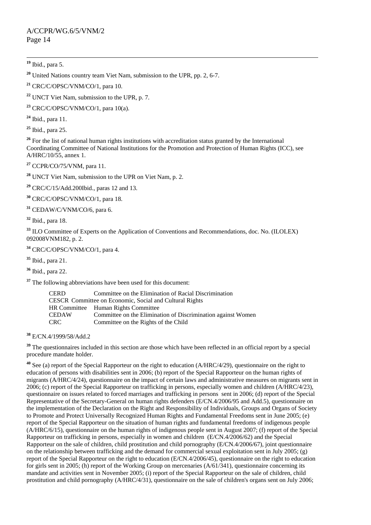**<sup>22</sup>** UNCT Viet Nam, submission to the UPR, p. 7.

**<sup>23</sup>** CRC/C/OPSC/VNM/CO/1, para 10(a).

**<sup>24</sup>** Ibid., para 11.

**<sup>25</sup>** Ibid., para 25.

<sup>26</sup> For the list of national human rights institutions with accreditation status granted by the International Coordinating Committee of National Institutions for the Promotion and Protection of Human Rights (ICC), see A/HRC/10/55, annex 1.

**<sup>27</sup>** CCPR/CO/75/VNM, para 11.

**<sup>28</sup>** UNCT Viet Nam, submission to the UPR on Viet Nam, p. 2.

**<sup>29</sup>** CRC/C/15/Add.200Ibid., paras 12 and 13.

**<sup>30</sup>** CRC/C/OPSC/VNM/CO/1, para 18.

**<sup>31</sup>** CEDAW/C/VNM/CO/6, para 6.

**<sup>32</sup>** Ibid., para 18.

<sup>33</sup> ILO Committee of Experts on the Application of Conventions and Recommendations, doc. No. (ILOLEX) 092008VNM182, p. 2.

**<sup>34</sup>** CRC/C/OPSC/VNM/CO/1, para 4.

**<sup>35</sup>** Ibid., para 21.

**<sup>36</sup>** Ibid., para 22.

<sup>37</sup> The following abbreviations have been used for this document:

| <b>CERD</b>                                             | Committee on the Elimination of Racial Discrimination        |  |
|---------------------------------------------------------|--------------------------------------------------------------|--|
| CESCR Committee on Economic, Social and Cultural Rights |                                                              |  |
|                                                         | HR Committee Human Rights Committee                          |  |
| <b>CEDAW</b>                                            | Committee on the Elimination of Discrimination against Women |  |
| CRC.                                                    | Committee on the Rights of the Child                         |  |

**<sup>38</sup>** E/CN.4/1999/58/Add.2

<sup>39</sup> The questionnaires included in this section are those which have been reflected in an official report by a special procedure mandate holder.

**<sup>40</sup>** See (a) report of the Special Rapporteur on the right to education (A/HRC/4/29), questionnaire on the right to education of persons with disabilities sent in 2006; (b) report of the Special Rapporteur on the human rights of migrants (A/HRC/4/24), questionnaire on the impact of certain laws and administrative measures on migrants sent in 2006; (c) report of the Special Rapporteur on trafficking in persons, especially women and children (A/HRC/4/23), questionnaire on issues related to forced marriages and trafficking in persons sent in 2006; (d) report of the Special Representative of the Secretary-General on human rights defenders (E/CN.4/2006/95 and Add.5), questionnaire on the implementation of the Declaration on the Right and Responsibility of Individuals, Groups and Organs of Society to Promote and Protect Universally Recognized Human Rights and Fundamental Freedoms sent in June 2005; (e) report of the Special Rapporteur on the situation of human rights and fundamental freedoms of indigenous people (A/HRC/6/15), questionnaire on the human rights of indigenous people sent in August 2007; (f) report of the Special Rapporteur on trafficking in persons, especially in women and children (E/CN.4/2006/62) and the Special Rapporteur on the sale of children, child prostitution and child pornography (E/CN.4/2006/67), joint questionnaire on the relationship between trafficking and the demand for commercial sexual exploitation sent in July 2005; (g) report of the Special Rapporteur on the right to education (E/CN.4/2006/45), questionnaire on the right to education for girls sent in 2005; (h) report of the Working Group on mercenaries (A/61/341), questionnaire concerning its mandate and activities sent in November 2005; (i) report of the Special Rapporteur on the sale of children, child prostitution and child pornography (A/HRC/4/31), questionnaire on the sale of children's organs sent on July 2006;

**<sup>19</sup>** Ibid., para 5.

**<sup>20</sup>** United Nations country team Viet Nam, submission to the UPR, pp. 2, 6-7.

**<sup>21</sup>** CRC/C/OPSC/VNM/CO/1, para 10.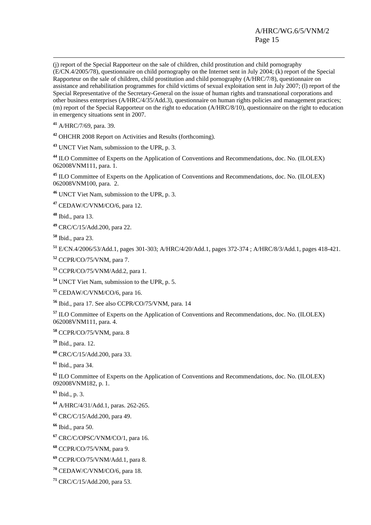## A/HRC/WG.6/5/VNM/2 Page 15

 (j) report of the Special Rapporteur on the sale of children, child prostitution and child pornography (E/CN.4/2005/78), questionnaire on child pornography on the Internet sent in July 2004; (k) report of the Special Rapporteur on the sale of children, child prostitution and child pornography (A/HRC/7/8), questionnaire on assistance and rehabilitation programmes for child victims of sexual exploitation sent in July 2007; (l) report of the Special Representative of the Secretary-General on the issue of human rights and transnational corporations and other business enterprises (A/HRC/4/35/Add.3), questionnaire on human rights policies and management practices; (m) report of the Special Rapporteur on the right to education (A/HRC/8/10), questionnaire on the right to education in emergency situations sent in 2007.

A/HRC/7/69, para. 39.

OHCHR 2008 Report on Activities and Results (forthcoming).

UNCT Viet Nam, submission to the UPR, p. 3.

 ILO Committee of Experts on the Application of Conventions and Recommendations, doc. No. (ILOLEX) 062008VNM111, para. 1.

 ILO Committee of Experts on the Application of Conventions and Recommendations, doc. No. (ILOLEX) 062008VNM100, para. 2.

UNCT Viet Nam, submission to the UPR, p. 3.

CEDAW/C/VNM/CO/6, para 12.

Ibid., para 13.

CRC/C/15/Add.200, para 22.

Ibid., para 23.

E/CN.4/2006/53/Add.1, pages 301-303; A/HRC/4/20/Add.1, pages 372-374 ; A/HRC/8/3/Add.1, pages 418-421.

CCPR/CO/75/VNM, para 7.

CCPR/CO/75/VNM/Add.2, para 1.

UNCT Viet Nam, submission to the UPR, p. 5.

CEDAW/C/VNM/CO/6, para 16.

Ibid., para 17. See also CCPR/CO/75/VNM, para. 14

 ILO Committee of Experts on the Application of Conventions and Recommendations, doc. No. (ILOLEX) 062008VNM111, para. 4.

CCPR/CO/75/VNM, para. 8

Ibid., para. 12.

CRC/C/15/Add.200, para 33.

Ibid., para 34.

 ILO Committee of Experts on the Application of Conventions and Recommendations, doc. No. (ILOLEX) 092008VNM182, p. 1.

Ibid., p. 3.

A/HRC/4/31/Add.1, paras. 262-265.

CRC/C/15/Add.200, para 49.

Ibid., para 50.

CRC/C/OPSC/VNM/CO/1, para 16.

CCPR/CO/75/VNM, para 9.

CCPR/CO/75/VNM/Add.1, para 8.

CEDAW/C/VNM/CO/6, para 18.

CRC/C/15/Add.200, para 53.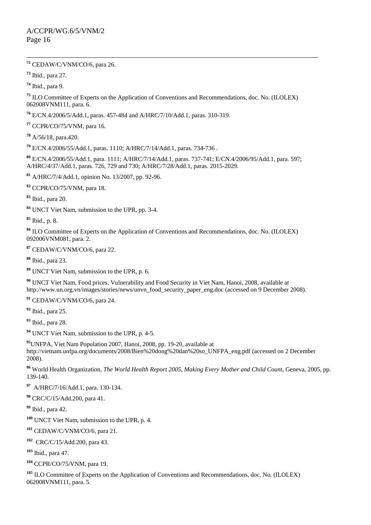**<sup>72</sup>** CEDAW/C/VNM/CO/6, para 26.

Ibid., para 27.

Ibid., para 9.

 ILO Committee of Experts on the Application of Conventions and Recommendations, doc. No. (ILOLEX) 062008VNM111, para. 6.

E/CN.4/2006/5/Add.1, paras. 457-484 and A/HRC/7/10/Add.1, paras. 310-319.

CCPR/CO/75/VNM, para 16.

A/56/18, para.420.

E/CN.4/2006/55/Add.1, paras. 1110; A/HRC/7/14/Add.1, paras. 734-736 .

 E/CN.4/2006/55/Add.1, para. 1111; A/HRC/7/14/Add.1, paras. 737-741; E/CN.4/2006/95/Add.1, para. 597; A/HRC/4/37/Add.1, paras. 726, 729 and 730; A/HRC/7/28/Add.1, paras. 2015-2029.

A/HRC/7/4/Add.1, opinion No. 13/2007, pp. 92-96.

CCPR/CO/75/VNM, para 18.

Ibid., para 20.

UNCT Viet Nam, submission to the UPR, pp. 3-4.

Ibid., p. 8.

 ILO Committee of Experts on the Application of Conventions and Recommendations, doc. No. (ILOLEX) 092006VNM081, para. 2.

CEDAW/C/VNM/CO/6, para 22.

Ibid., para 23.

UNCT Viet Nam, submission to the UPR, p. 6.

 UNCT Viet Nam, Food prices, Vulnerability and Food Security in Viet Nam, Hanoi, 2008, available at http://www.un.org.vn/images/stories/news/unvn\_food\_security\_paper\_eng.doc (accessed on 9 December 2008).

CEDAW/C/VNM/CO/6, para 24.

Ibid., para 25.

Ibid., para 28.

UNCT Viet Nam, submission to the UPR, p. 4-5.

UNFPA, Viet Nam Population 2007, Hanoi, 2008, pp. 19-20, available at http://vietnam.unfpa.org/documents/2008/Bien%20dong%20dan%20so\_UNFPA\_eng.pdf (accessed on 2 December 2008).

 World Health Organization, *The World Health Report 2005*, *Making Every Mother and Child Count*, Geneva, 2005, pp. 139-140.

A/HRC/7/16/Add.1, para. 130-134.

CRC/C/15/Add.200, para 41.

Ibid., para 42.

UNCT Viet Nam, submission to the UPR, p. 4.

CEDAW/C/VNM/CO/6, para 21.

CRC/C/15/Add.200, para 43.

Ibid., para 47.

CCPR/CO/75/VNM, para 19.

 ILO Committee of Experts on the Application of Conventions and Recommendations, doc. No. (ILOLEX) 062008VNM111, para. 5.